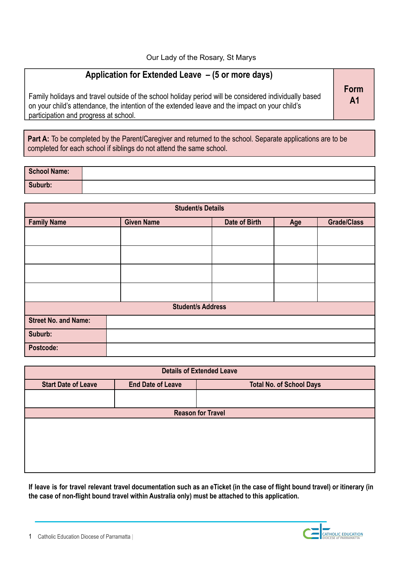## **Application for Extended Leave – (5 or more days)**

Family holidays and travel outside of the school holiday period will be considered individually based on your child's attendance, the intention of the extended leave and the impact on your child's participation and progress at school.

Part A: To be completed by the Parent/Caregiver and returned to the school. Separate applications are to be completed for each school if siblings do not attend the same school.

| <b>School Name:</b> |  |
|---------------------|--|
| Suburb:             |  |

| <b>Student/s Details</b>    |                   |               |     |                    |
|-----------------------------|-------------------|---------------|-----|--------------------|
| <b>Family Name</b>          | <b>Given Name</b> | Date of Birth | Age | <b>Grade/Class</b> |
|                             |                   |               |     |                    |
|                             |                   |               |     |                    |
|                             |                   |               |     |                    |
|                             |                   |               |     |                    |
| <b>Student/s Address</b>    |                   |               |     |                    |
| <b>Street No. and Name:</b> |                   |               |     |                    |
| Suburb:                     |                   |               |     |                    |
| Postcode:                   |                   |               |     |                    |

| <b>Details of Extended Leave</b> |                          |                                 |  |
|----------------------------------|--------------------------|---------------------------------|--|
| <b>Start Date of Leave</b>       | <b>End Date of Leave</b> | <b>Total No. of School Days</b> |  |
|                                  |                          |                                 |  |
| <b>Reason for Travel</b>         |                          |                                 |  |
|                                  |                          |                                 |  |
|                                  |                          |                                 |  |
|                                  |                          |                                 |  |
|                                  |                          |                                 |  |
|                                  |                          |                                 |  |

If leave is for travel relevant travel documentation such as an eTicket (in the case of flight bound travel) or itinerary (in **the case of non-flight bound travel within Australia only) must be attached to this application.**

**Form A1**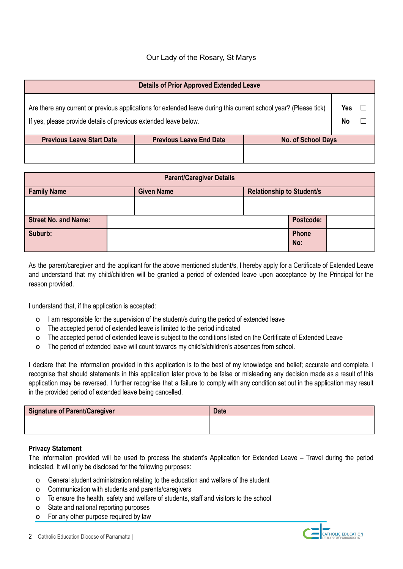## Our Lady of the Rosary, St Marys

| <b>Details of Prior Approved Extended Leave</b> |
|-------------------------------------------------|
|-------------------------------------------------|

| Are there any current or previous applications for extended leave during this current school year? (Please tick) |  |
|------------------------------------------------------------------------------------------------------------------|--|
| If yes, please provide details of previous extended leave below.                                                 |  |

| <b>Previous Leave Start Date</b> | <b>Previous Leave End Date</b> | <b>No. of School Days</b> |
|----------------------------------|--------------------------------|---------------------------|
|                                  |                                |                           |
|                                  |                                |                           |

| <b>Parent/Caregiver Details</b> |  |                   |  |                                  |              |  |
|---------------------------------|--|-------------------|--|----------------------------------|--------------|--|
| <b>Family Name</b>              |  | <b>Given Name</b> |  | <b>Relationship to Student/s</b> |              |  |
|                                 |  |                   |  |                                  |              |  |
| <b>Street No. and Name:</b>     |  |                   |  |                                  | Postcode:    |  |
| Suburb:                         |  |                   |  |                                  | Phone<br>No: |  |

As the parent/caregiver and the applicant for the above mentioned student/s, I hereby apply for a Certificate of Extended Leave and understand that my child/children will be granted a period of extended leave upon acceptance by the Principal for the reason provided.

I understand that, if the application is accepted:

- o I am responsible for the supervision of the student/s during the period of extended leave
- o The accepted period of extended leave is limited to the period indicated
- o The accepted period of extended leave is subject to the conditions listed on the Certificate of Extended Leave
- o The period of extended leave will count towards my child's/children's absences from school.

I declare that the information provided in this application is to the best of my knowledge and belief; accurate and complete. I recognise that should statements in this application later prove to be false or misleading any decision made as a result of this application may be reversed. I further recognise that a failure to comply with any condition set out in the application may result in the provided period of extended leave being cancelled.

| Signature of Parent/Caregiver | <b>Date</b> |
|-------------------------------|-------------|
|                               |             |

## **Privacy Statement**

The information provided will be used to process the student's Application for Extended Leave – Travel during the period indicated. It will only be disclosed for the following purposes:

- o General student administration relating to the education and welfare of the student
- o Communication with students and parents/caregivers
- o To ensure the health, safety and welfare of students, staff and visitors to the school
- o State and national reporting purposes
- o For any other purpose required by law





**Yes** ☐ **No** ☐